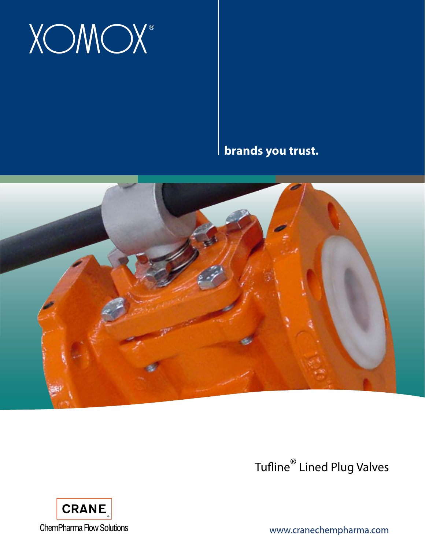# **XOMOX®**

**brands you trust.**



Tufline® Lined Plug Valves



www.cranechempharma.com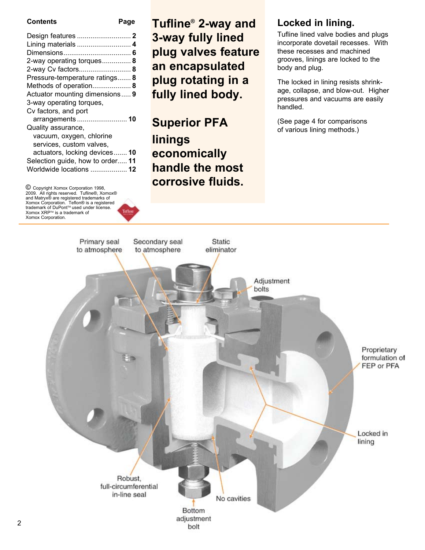**Page** 

| Lining materials  4              |  |
|----------------------------------|--|
|                                  |  |
| 2-way operating torques 8        |  |
| 2-way Cv factors 8               |  |
| Pressure-temperature ratings 8   |  |
| Methods of operation 8           |  |
| Actuator mounting dimensions 9   |  |
| 3-way operating torques,         |  |
| Cv factors, and port             |  |
|                                  |  |
| Quality assurance,               |  |
| vacuum, oxygen, chlorine         |  |
| services, custom valves,         |  |
| actuators, locking devices 10    |  |
| Selection guide, how to order 11 |  |
| Worldwide locations  12          |  |
|                                  |  |

© Copyright Xomox Corporation 1998,<br>2009. All rights reserved. Tufline®, Xomox®<br>and Matryx® are registered trademarks of Xomox Corporation. Teflon® is a registered<br>trademark of DuPont™ used under license. Xomox XRP™ is a trademark of Xomox Corporation.

# **Tufline® 2-way and 3-way fully lined plug valves feature an encapsulated plug rotating in a fully lined body.**

**Superior PFA linings economically handle the most corrosive fluids.**

# **Locked in lining.**

Tufline lined valve bodies and plugs incorporate dovetail recesses. With these recesses and machined grooves, linings are locked to the body and plug.

The locked in lining resists shrinkage, collapse, and blow-out. Higher pressures and vacuums are easily handled.

(See page 4 for comparisons of various lining methods.)

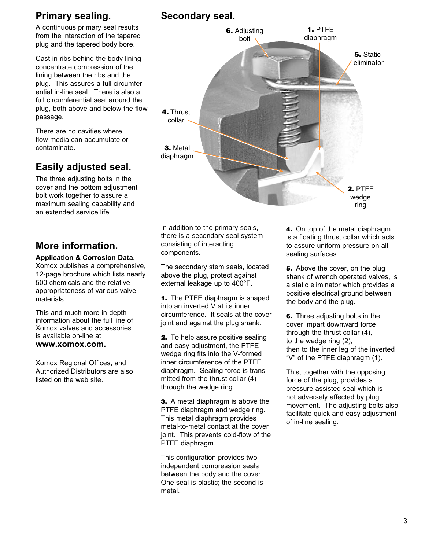# **Primary sealing.**

A continuous primary seal results from the interaction of the tapered plug and the tapered body bore.

Cast-in ribs behind the body lining concentrate compression of the lining between the ribs and the plug. This assures a full circumferential in-line seal. There is also a full circumferential seal around the plug, both above and below the flow passage.

There are no cavities where flow media can accumulate or contaminate.

# **Easily adjusted seal.**

The three adjusting bolts in the cover and the bottom adjustment bolt work together to assure a maximum sealing capability and an extended service life.

# **More information.**

#### **Application & Corrosion Data.**

Xomox publishes a comprehensive, 12-page brochure which lists nearly 500 chemicals and the relative appropriateness of various valve materials.

This and much more in-depth information about the full line of Xomox valves and accessories is available on-line at **www.xomox.com.**

Xomox Regional Offices, and Authorized Distributors are also listed on the web site.

# **Secondary seal.**



In addition to the primary seals, there is a secondary seal system consisting of interacting components.

The secondary stem seals, located above the plug, protect against external leakage up to 400°F.

**1.** The PTFE diaphragm is shaped into an inverted V at its inner circumference. It seals at the cover joint and against the plug shank.

**2.** To help assure positive sealing and easy adjustment, the PTFE wedge ring fits into the V-formed inner circumference of the PTFE diaphragm. Sealing force is transmitted from the thrust collar (4) through the wedge ring.

**3.** A metal diaphragm is above the PTFE diaphragm and wedge ring. This metal diaphragm provides metal-to-metal contact at the cover joint. This prevents cold-flow of the PTFE diaphragm.

This configuration provides two independent compression seals between the body and the cover. One seal is plastic; the second is metal.

**4.** On top of the metal diaphragm is a floating thrust collar which acts to assure uniform pressure on all sealing surfaces.

**5.** Above the cover, on the plug shank of wrench operated valves, is a static eliminator which provides a positive electrical ground between the body and the plug.

**6.** Three adjusting bolts in the cover impart downward force through the thrust collar (4), to the wedge ring (2), then to the inner leg of the inverted "V" of the PTFE diaphragm (1).

This, together with the opposing force of the plug, provides a pressure assisted seal which is not adversely affected by plug movement. The adjusting bolts also facilitate quick and easy adjustment of in-line sealing.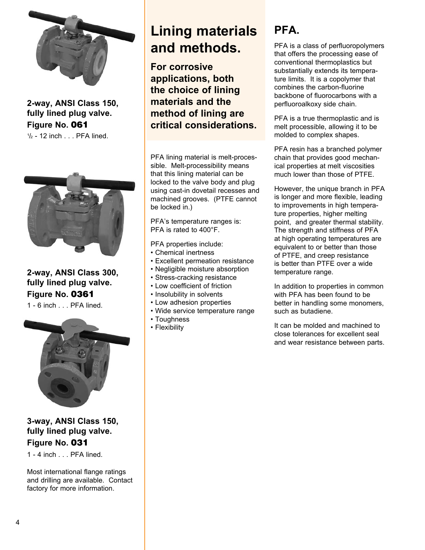

**2-way, ANSI Class 150, fully lined plug valve. Figure No. 061**

 $\frac{1}{2}$  - 12 inch . . . PFA lined.



**2-way, ANSI Class 300, fully lined plug valve. Figure No. 0361**

1 - 6 inch . . . PFA lined.



**3-way, ANSI Class 150, fully lined plug valve. Figure No. 031**

1 - 4 inch . . . PFA lined.

Most international flange ratings and drilling are available. Contact factory for more information.

# **Lining materials and methods.**

**For corrosive applications, both the choice of lining materials and the method of lining are critical considerations.** 

PFA lining material is melt-processible. Melt-processibility means that this lining material can be locked to the valve body and plug using cast-in dovetail recesses and machined grooves. (PTFE cannot be locked in.)

PFA's temperature ranges is: PFA is rated to 400°F.

PFA properties include:

- Chemical inertness
- Excellent permeation resistance
- Negligible moisture absorption
- Stress-cracking resistance
- Low coefficient of friction
- Insolubility in solvents
- Low adhesion properties
- Wide service temperature range
- Toughness
- Flexibility

# **PFA.**

PFA is a class of perfluoropolymers that offers the processing ease of conventional thermoplastics but substantially extends its temperature limits. It is a copolymer that combines the carbon-fluorine backbone of fluorocarbons with a perfluoroalkoxy side chain.

PFA is a true thermoplastic and is melt processible, allowing it to be molded to complex shapes.

PFA resin has a branched polymer chain that provides good mechanical properties at melt viscosities much lower than those of PTFF

However, the unique branch in PFA is longer and more flexible, leading to improvements in high temperature properties, higher melting point, and greater thermal stability. The strength and stiffness of PFA at high operating temperatures are equivalent to or better than those of PTFE, and creep resistance is better than PTFE over a wide temperature range.

In addition to properties in common with PFA has been found to be better in handling some monomers, such as butadiene.

It can be molded and machined to close tolerances for excellent seal and wear resistance between parts.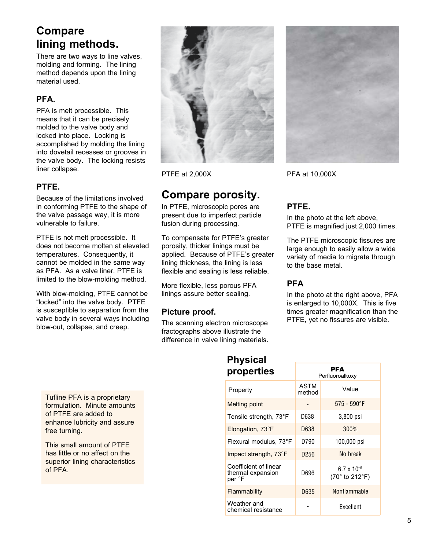# **Compare lining methods.**

There are two ways to line valves, molding and forming. The lining method depends upon the lining material used.

# **PFA.**

PFA is melt processible. This means that it can be precisely molded to the valve body and locked into place. Locking is accomplished by molding the lining into dovetail recesses or grooves in the valve body. The locking resists liner collapse.

## **PTFE.**

Because of the limitations involved in conforming PTFE to the shape of the valve passage way, it is more vulnerable to failure.

PTFE is not melt processible. It does not become molten at elevated temperatures. Consequently, it cannot be molded in the same way as PFA. As a valve liner, PTFE is limited to the blow-molding method.

With blow-molding, PTFE cannot be "locked" into the valve body. PTFE is susceptible to separation from the valve body in several ways including blow-out, collapse, and creep.



PTFE at 2,000X

# **Compare porosity.**

In PTFE, microscopic pores are present due to imperfect particle fusion during processing.

To compensate for PTFE's greater porosity, thicker linings must be applied. Because of PTFE's greater lining thickness, the lining is less flexible and sealing is less reliable.

More flexible, less porous PFA linings assure better sealing.

### **Picture proof.**

The scanning electron microscope fractographs above illustrate the difference in valve lining materials.



PFA at 10,000X

# **PTFE.**

In the photo at the left above, PTFE is magnified just 2,000 times.

The PTFE microscopic fissures are large enough to easily allow a wide variety of media to migrate through to the base metal.

### **PFA**

In the photo at the right above, PFA is enlarged to 10,000X. This is five times greater magnification than the PTFE, yet no fissures are visible.

**PFA** 

Tufline PFA is a proprietary formulation. Minute amounts of PTFE are added to enhance lubricity and assure free turning.

This small amount of PTFE has little or no affect on the superior lining characteristics of PFA.

# **Physical properties**

| PI YPVI LIVY                                         |                       | Perfluoroalkoxy                        |
|------------------------------------------------------|-----------------------|----------------------------------------|
| Property                                             | <b>ASTM</b><br>method | Value                                  |
| <b>Melting point</b>                                 |                       | $575 - 590$ °F                         |
| Tensile strength, 73°F                               | D638                  | 3,800 psi                              |
| Elongation, 73°F                                     | D638                  | 300%                                   |
| Flexural modulus, 73°F                               | D790                  | 100,000 psi                            |
| Impact strength, 73°F                                | D <sub>256</sub>      | No break                               |
| Coefficient of linear<br>thermal expansion<br>per °F | D696                  | $6.7 \times 10^{-5}$<br>(70° to 212°F) |
| Flammability                                         | D635                  | Nonflammable                           |
| Weather and<br>chemical resistance                   |                       | Excellent                              |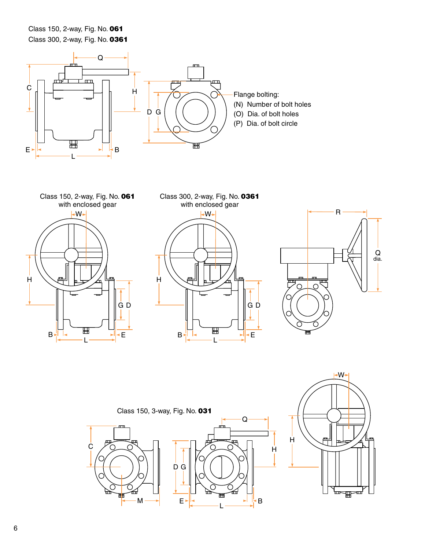Class 150, 2-way, Fig. No. 061 Class 300, 2-way, Fig. No. 0361





with enclosed gear  $-W+$ H Ë D G  $B$   $\frac{1}{2}$   $\frac{1}{2}$   $\frac{1}{2}$   $\frac{1}{2}$   $\frac{1}{2}$   $\frac{1}{2}$   $\frac{1}{2}$   $\frac{1}{2}$   $\frac{1}{2}$   $\frac{1}{2}$   $\frac{1}{2}$   $\frac{1}{2}$   $\frac{1}{2}$   $\frac{1}{2}$   $\frac{1}{2}$   $\frac{1}{2}$   $\frac{1}{2}$   $\frac{1}{2}$   $\frac{1}{2}$   $\frac{1}{2}$   $\frac{1}{2}$   $\frac{1}{2$ L





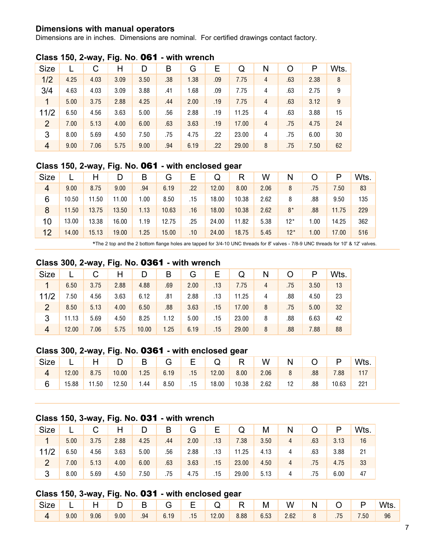#### **Dimensions with manual operators**

Dimensions are in inches. Dimensions are nominal. For certified drawings contact factory.

| <b>Size</b>    |      | С    | Н    | D    | B   | G    | Ε   | Q     | Ν | 0   | P    | Wts. |
|----------------|------|------|------|------|-----|------|-----|-------|---|-----|------|------|
| 1/2            | 4.25 | 4.03 | 3.09 | 3.50 | .38 | 1.38 | .09 | 7.75  | 4 | .63 | 2.38 | 8    |
| 3/4            | 4.63 | 4.03 | 3.09 | 3.88 | .41 | 1.68 | .09 | 7.75  | 4 | .63 | 2.75 | 9    |
| 1              | 5.00 | 3.75 | 2.88 | 4.25 | .44 | 2.00 | .19 | 7.75  | 4 | .63 | 3.12 | 9    |
| 11/2           | 6.50 | 4.56 | 3.63 | 5.00 | .56 | 2.88 | .19 | 11.25 | 4 | .63 | 3.88 | 15   |
| $\overline{2}$ | 7.00 | 5.13 | 4.00 | 6.00 | .63 | 3.63 | .19 | 17.00 | 4 | .75 | 4.75 | 24   |
| 3              | 8.00 | 5.69 | 4.50 | 7.50 | .75 | 4.75 | .22 | 23.00 | 4 | .75 | 6.00 | 30   |
| $\overline{4}$ | 9.00 | 7.06 | 5.75 | 9.00 | .94 | 6.19 | .22 | 29.00 | 8 | .75 | 7.50 | 62   |

#### **Class 150, 2-way, Fig. No**. **061 - with wrench**

### **Class 150, 2-way, Fig. No. 061 - with enclosed gear**

| <b>Size</b>    |       |       | D     | B    | G     | Е   | Q     | R     | W    | N     |      | P     | Wts. |
|----------------|-------|-------|-------|------|-------|-----|-------|-------|------|-------|------|-------|------|
| $\overline{4}$ | 9.00  | 8.75  | 9.00  | .94  | 6.19  | .22 | 12.00 | 8.00  | 2.06 | 8     | .75  | 7.50  | 83   |
| 6              | 10.50 | 11.50 | 11.00 | 1.00 | 8.50  | .15 | 18.00 | 10.38 | 2.62 | 8     | .88  | 9.50  | 135  |
| 8              | 11.50 | 13.75 | 13.50 | 1.13 | 10.63 | .16 | 18.00 | 10.38 | 2.62 | $8*$  | .88  | 11.75 | 229  |
| 10             | 13.00 | 13.38 | 16.00 | 1.19 | 12.75 | .25 | 24.00 | 11.82 | 5.38 | $12*$ | 1.00 | 14.25 | 362  |
| 12             | 14.00 | 15.13 | 19.00 | 1.25 | 15.00 | .10 | 24.00 | 18.75 | 5.45 | $12*$ | 1.00 | 17.00 | 516  |

\*The 2 top and the 2 bottom flange holes are tapped for 3/4-10 UNC threads for 8" valves - 7/8-9 UNC threads for 10" & 12" valves.

## **Class 300, 2-way, Fig. No. 0361 - with wrench**

| <b>Size</b>    |       | С    |      | D     | в    | G    | Е   | Q     | N |     |      | Wts. |
|----------------|-------|------|------|-------|------|------|-----|-------|---|-----|------|------|
|                | 6.50  | 3.75 | 2.88 | 4.88  | .69  | 2.00 | .13 | 7.75  | 4 | .75 | 3.50 | 13   |
| 11/2           | 7.50  | 4.56 | 3.63 | 6.12  | .81  | 2.88 | .13 | 11.25 | 4 | .88 | 4.50 | 23   |
| 2              | 8.50  | 5.13 | 4.00 | 6.50  | .88  | 3.63 | .15 | 17.00 | 8 | .75 | 5.00 | 32   |
| 3              | 11.13 | 5.69 | 4.50 | 8.25  | 1.12 | 5.00 | .15 | 23.00 | 8 | .88 | 6.63 | 42   |
| $\overline{4}$ | 12.00 | 7.06 | 5.75 | 10.00 | 1.25 | 6.19 | .15 | 29.00 | 8 | .88 | 7.88 | 88   |

## **Class 300, 2-way, Fig. No. 0361 - with enclosed gear**

| Size |       |       |       | $\overline{B}$ | G    | E.  | Q     | $^{\prime}$ R $_{\odot}$ | W    | N  |     | P     | Wts.   |
|------|-------|-------|-------|----------------|------|-----|-------|--------------------------|------|----|-----|-------|--------|
|      | 12.00 | 8.75  | 10.00 | 1.25           | 6.19 | .15 | 12.00 | 8.00                     | 2.06 |    | .88 | 7.88  |        |
| 6    | 15.88 | 11.50 | 12.50 | 1.44           | 8.50 | .15 | 18.00 | 10.38                    | 2.62 | 12 | .88 | 10.63 | $22 -$ |

#### **Class 150, 3-way, Fig. No. 031 - with wrench**

| <b>Size</b>    |      |      | Н    |      | B   | G    | Е   | Q     | M    | N |     |      | Wts. |
|----------------|------|------|------|------|-----|------|-----|-------|------|---|-----|------|------|
| 1              | 5.00 | 3.75 | 2.88 | 4.25 | .44 | 2.00 | .13 | 7.38  | 3.50 | 4 | .63 | 3.13 | 16   |
| 11/2           | 6.50 | 4.56 | 3.63 | 5.00 | .56 | 2.88 | .13 | 11.25 | 4.13 | 4 | .63 | 3.88 | 21   |
| $\overline{2}$ | 7.00 | 5.13 | 4.00 | 6.00 | .63 | 3.63 | .15 | 23.00 | 4.50 | 4 | .75 | 4.75 | 33   |
| 3              | 8.00 | 5.69 | 4.50 | 7.50 | .75 | 4.75 | .15 | 29.00 | 5.13 | 4 | .75 | 6.00 | 47   |

### **Class 150, 3-way, Fig. No. 031 - with enclosed gear**

| Size                                                                                |      |      |      |                                                                                 |     | ID   B   G   E   Q   R | $\mathsf{M}$ $\mathsf{M}$ | $\mathsf{N}$ | N. |           | $\Box$ | Wts. |
|-------------------------------------------------------------------------------------|------|------|------|---------------------------------------------------------------------------------|-----|------------------------|---------------------------|--------------|----|-----------|--------|------|
| $\begin{array}{\begin{array}{\small \begin{array}{\small \end{array}}}}\end{array}$ | 9.00 | 9.06 | 9.00 | $\begin{array}{ c c c c c } \hline \text{.94} & \text{6.19} \hline \end{array}$ | .15 | $12.00$ 8.88 6.53      |                           | 2.62         |    | $8 \t 75$ | 7.50   | 96   |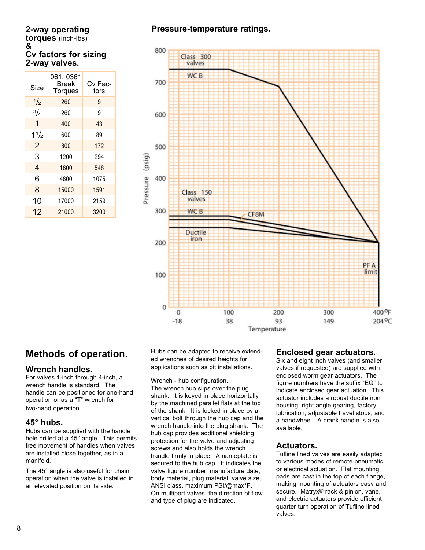# **2-way operating**

**torques** (inch-lbs) **& Cv factors for sizing 2-way valves.**

| Size           | 061, 0361<br><b>Break</b><br><b>Torques</b> | Cv Fac-<br>tors |
|----------------|---------------------------------------------|-----------------|
| $\frac{1}{2}$  | 260                                         | 9               |
| $^{3}/_{4}$    | 260                                         | 9               |
| 1              | 400                                         | 43              |
| 11/2           | 600                                         | 89              |
| $\overline{2}$ | 800                                         | 172             |
| 3              | 1200                                        | 294             |
| $\overline{4}$ | 1800                                        | 548             |
| 6              | 4800                                        | 1075            |
| 8              | 15000                                       | 1591            |
| 10             | 17000                                       | 2159            |
| 12             | 21000                                       | 3200            |

## **Pressure-temperature ratings.**



# **Methods of operation.**

### **Wrench handles.**

For valves 1-inch through 4-inch, a wrench handle is standard. The handle can be positioned for one-hand operation or as a "T" wrench for two-hand operation.

#### **45° hubs.**

Hubs can be supplied with the handle hole drilled at a 45° angle. This permits free movement of handles when valves are installed close together, as in a manifold.

The 45° angle is also useful for chain operation when the valve is installed in an elevated position on its side.

Hubs can be adapted to receive extended wrenches of desired heights for applications such as pit installations.

Wrench - hub configuration.

The wrench hub slips over the plug shank. It is keyed in place horizontally by the machined parallel flats at the top of the shank. It is locked in place by a vertical bolt through the hub cap and the wrench handle into the plug shank. The hub cap provides additional shielding protection for the valve and adjusting screws and also holds the wrench handle firmly in place. A nameplate is secured to the hub cap. It indicates the valve figure number, manufacture date, body material, plug material, valve size, ANSI class, maximum PSI/@max°F. On multiport valves, the direction of flow and type of plug are indicated.

### **Enclosed gear actuators.**

Six and eight inch valves (and smaller valves if requested) are supplied with enclosed worm gear actuators. The figure numbers have the suffix "EG" to indicate enclosed gear actuation. This actuator includes a robust ductile iron housing, right angle gearing, factory lubrication, adjustable travel stops, and a handwheel. A crank handle is also available.

### **Actuators.**

Tufline lined valves are easily adapted to various modes of remote pneumatic or electrical actuation. Flat mounting pads are cast in the top of each flange, making mounting of actuators easy and secure. Matryx<sup>®</sup> rack & pinion, vane, and electric actuators provide efficient quarter turn operation of Tufline lined valves.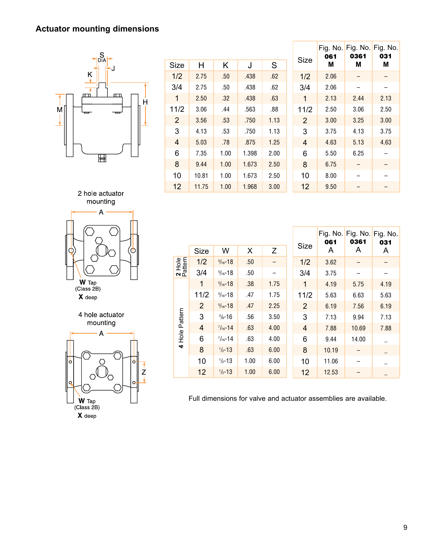# **Actuator mounting dimensions**



|                |       |      |       |      |                | 061  | Fig. No. Fig. No. Fig. No.<br>0361 | 031  |
|----------------|-------|------|-------|------|----------------|------|------------------------------------|------|
| <b>Size</b>    | Н     | Κ    | J     | S    | <b>Size</b>    | М    | Μ                                  | Μ    |
| 1/2            | 2.75  | .50  | .438  | .62  | 1/2            | 2.06 |                                    |      |
| 3/4            | 2.75  | .50  | .438  | .62  | 3/4            | 2.06 |                                    |      |
| 1              | 2.50  | .32  | .438  | .63  | 1              | 2.13 | 2.44                               | 2.13 |
| 11/2           | 3.06  | .44  | .563  | .88  | 11/2           | 2.50 | 3.06                               | 2.50 |
| $\overline{2}$ | 3.56  | .53  | .750  | 1.13 | 2              | 3.00 | 3.25                               | 3.00 |
| 3              | 4.13  | .53  | .750  | 1.13 | 3              | 3.75 | 4.13                               | 3.75 |
| 4              | 5.03  | .78  | .875  | 1.25 | $\overline{4}$ | 4.63 | 5.13                               | 4.63 |
| 6              | 7.35  | 1.00 | 1.398 | 2.00 | 6              | 5.50 | 6.25                               |      |
| 8              | 9.44  | 1.00 | 1.673 | 2.50 | 8              | 6.75 |                                    |      |
| 10             | 10.81 | 1.00 | 1.673 | 2.50 | 10             | 8.00 |                                    |      |
| 12             | 11.75 | 1.00 | 1.968 | 3.00 | 12             | 9.50 |                                    |      |





 $\boldsymbol{X}$  deep

4 hole actuator mounting



|                   |             |                     |      |      |                | 061   | Fig. No. Fig. No. Fig. No.<br>0361 | 031  |
|-------------------|-------------|---------------------|------|------|----------------|-------|------------------------------------|------|
|                   | <b>Size</b> | W                   | X    | Z    | <b>Size</b>    | A     | A                                  | A    |
| 2 Hole<br>Pattern | 1/2         | $\frac{5}{16}$ -18  | .50  |      | 1/2            | 3.62  |                                    |      |
|                   | 3/4         | $\frac{5}{16}$ -18  | .50  |      | 3/4            | 3.75  |                                    |      |
|                   | 1           | $\frac{5}{16} - 18$ | .38  | 1.75 | 1              | 4.19  | 5.75                               | 4.19 |
|                   | 11/2        | $\frac{5}{16} - 18$ | .47  | 1.75 | 11/2           | 5.63  | 6.63                               | 5.63 |
|                   | 2           | $\frac{5}{16} - 18$ | .47  | 2.25 | $\overline{2}$ | 6.19  | 7.56                               | 6.19 |
| Pattern           | 3           | $\frac{3}{8} - 16$  | .56  | 3.50 | 3              | 7.13  | 9.94                               | 7.13 |
|                   | 4           | $\frac{7}{16} - 14$ | .63  | 4.00 | 4              | 7.88  | 10.69                              | 7.88 |
| $rac{e}{2}$       | 6           | $\frac{7}{16} - 14$ | .63  | 4.00 | 6              | 9.44  | 14.00                              |      |
| 4                 | 8           | $1/2 - 13$          | .63  | 6.00 | 8              | 10.19 |                                    |      |
|                   | 10          | $\frac{1}{2} - 13$  | 1.00 | 6.00 | 10             | 11.06 |                                    |      |
|                   | 12          | $\frac{1}{2} - 13$  | 1.00 | 6.00 | 12             | 12.53 |                                    |      |

Full dimensions for valve and actuator assemblies are available.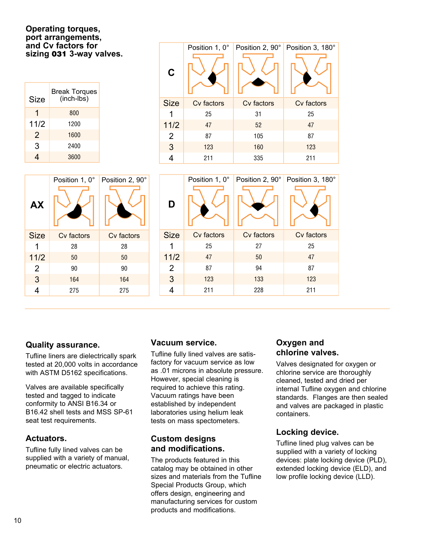#### **Operating torques, port arrangements, and Cv factors for sizing 031 3-way valves.**

| Size | <b>Break Torques</b><br>(inch-lbs) |
|------|------------------------------------|
| 1    | 800                                |
| 11/2 | 1200                               |
| 2    | 1600                               |
| 3    | 2400                               |
|      | 3600                               |

| $\mathbf C$ | Position 1, 0° |            | Position 2, 90° Position 3, 180° |
|-------------|----------------|------------|----------------------------------|
| <b>Size</b> | Cv factors     | Cv factors | Cv factors                       |
| 1           | 25             | 31         | 25                               |
| 11/2        | 47             | 52         | 47                               |
| 2           | 87             | 105        | 87                               |
| 3           | 123            | 160        | 123                              |
| 4           | 211            | 335        | 211                              |

|                | Position 1, 0° | Position 2, 90° |                | Position 1, 0° | Position 2, 90° | Position 3, 180° |
|----------------|----------------|-----------------|----------------|----------------|-----------------|------------------|
| <b>AX</b>      |                |                 | D              |                |                 |                  |
| <b>Size</b>    | Cv factors     | Cv factors      | <b>Size</b>    | Cv factors     | Cv factors      | Cv factors       |
|                | 28             | 28              | 1              | 25             | 27              | 25               |
| $11/2$         | 50             | 50              | $11/2$         | 47             | 50              | 47               |
| $\overline{2}$ | 90             | 90              | $\overline{2}$ | 87             | 94              | 87               |
| $\mathbf{3}$   | 164            | 164             | 3              | 123            | 133             | 123              |
| $\overline{4}$ | 275            | 275             | 4              | 211            | 228             | 211              |

## **Quality assurance.**

Tufline liners are dielectrically spark tested at 20,000 volts in accordance with ASTM D5162 specifications.

Valves are available specifically tested and tagged to indicate conformity to ANSI B16.34 or B16.42 shell tests and MSS SP-61 seat test requirements.

## **Actuators.**

Tufline fully lined valves can be supplied with a variety of manual, pneumatic or electric actuators.

## **Vacuum service.**

Tufline fully lined valves are satisfactory for vacuum service as low as .01 microns in absolute pressure. However, special cleaning is required to achieve this rating. Vacuum ratings have been established by independent laboratories using helium leak tests on mass spectometers.

## **Custom designs and modifications.**

The products featured in this catalog may be obtained in other sizes and materials from the Tufline Special Products Group, which offers design, engineering and manufacturing services for custom products and modifications.

## **Oxygen and chlorine valves.**

Valves designated for oxygen or chlorine service are thoroughly cleaned, tested and dried per internal Tufline oxygen and chlorine standards. Flanges are then sealed and valves are packaged in plastic containers.

## **Locking device.**

Tufline lined plug valves can be supplied with a variety of locking devices: plate locking device (PLD), extended locking device (ELD), and low profile locking device (LLD).